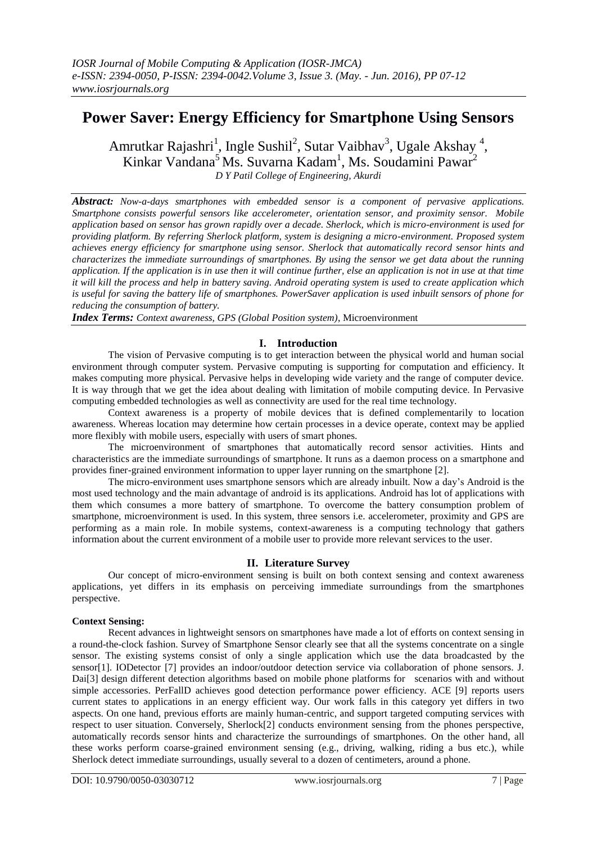# **Power Saver: Energy Efficiency for Smartphone Using Sensors**

Amrutkar Rajashri<sup>1</sup>, Ingle Sushil<sup>2</sup>, Sutar Vaibhav<sup>3</sup>, Ugale Akshay<sup>4</sup>, Kinkar Vandana<sup>5</sup> Ms. Suvarna Kadam<sup>1</sup>, Ms. Soudamini Pawar<sup>2</sup> *D Y Patil College of Engineering, Akurdi*

*Abstract: Now-a-days smartphones with embedded sensor is a component of pervasive applications. Smartphone consists powerful sensors like accelerometer, orientation sensor, and proximity sensor. Mobile application based on sensor has grown rapidly over a decade. Sherlock, which is micro-environment is used for providing platform. By referring Sherlock platform, system is designing a micro-environment. Proposed system achieves energy efficiency for smartphone using sensor. Sherlock that automatically record sensor hints and characterizes the immediate surroundings of smartphones. By using the sensor we get data about the running application. If the application is in use then it will continue further, else an application is not in use at that time it will kill the process and help in battery saving. Android operating system is used to create application which is useful for saving the battery life of smartphones. PowerSaver application is used inbuilt sensors of phone for reducing the consumption of battery.*

*Index Terms: Context awareness, GPS (Global Position system)*, Microenvironment

# **I. Introduction**

The vision of Pervasive computing is to get interaction between the physical world and human social environment through computer system. Pervasive computing is supporting for computation and efficiency. It makes computing more physical. Pervasive helps in developing wide variety and the range of computer device. It is way through that we get the idea about dealing with limitation of mobile computing device. In Pervasive computing embedded technologies as well as connectivity are used for the real time technology.

Context awareness is a property of mobile devices that is defined complementarily to location awareness. Whereas location may determine how certain processes in a device operate, context may be applied more flexibly with mobile users, especially with users of smart phones.

The microenvironment of smartphones that automatically record sensor activities. Hints and characteristics are the immediate surroundings of smartphone. It runs as a daemon process on a smartphone and provides finer-grained environment information to upper layer running on the smartphone [2].

The micro-environment uses smartphone sensors which are already inbuilt. Now a day's Android is the most used technology and the main advantage of android is its applications. Android has lot of applications with them which consumes a more battery of smartphone. To overcome the battery consumption problem of smartphone, microenvironment is used. In this system, three sensors i.e. accelerometer, proximity and GPS are performing as a main role. In mobile systems, context-awareness is a computing technology that gathers information about the current environment of a mobile user to provide more relevant services to the user.

# **II. Literature Survey**

Our concept of micro-environment sensing is built on both context sensing and context awareness applications, yet differs in its emphasis on perceiving immediate surroundings from the smartphones perspective.

# **Context Sensing:**

Recent advances in lightweight sensors on smartphones have made a lot of efforts on context sensing in a round-the-clock fashion. Survey of Smartphone Sensor clearly see that all the systems concentrate on a single sensor. The existing systems consist of only a single application which use the data broadcasted by the sensor[1]. IODetector [7] provides an indoor/outdoor detection service via collaboration of phone sensors. J. Dai[3] design different detection algorithms based on mobile phone platforms for scenarios with and without simple accessories. PerFallD achieves good detection performance power efficiency. ACE [9] reports users current states to applications in an energy efficient way. Our work falls in this category yet differs in two aspects. On one hand, previous efforts are mainly human-centric, and support targeted computing services with respect to user situation. Conversely, Sherlock[2] conducts environment sensing from the phones perspective, automatically records sensor hints and characterize the surroundings of smartphones. On the other hand, all these works perform coarse-grained environment sensing (e.g., driving, walking, riding a bus etc.), while Sherlock detect immediate surroundings, usually several to a dozen of centimeters, around a phone.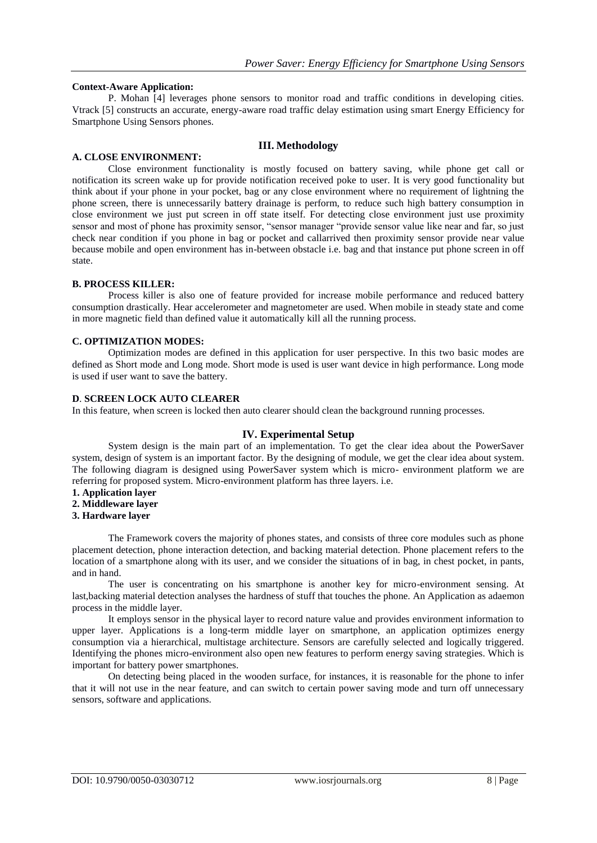#### **Context-Aware Application:**

P. Mohan [4] leverages phone sensors to monitor road and traffic conditions in developing cities. Vtrack [5] constructs an accurate, energy-aware road traffic delay estimation using smart Energy Efficiency for Smartphone Using Sensors phones.

# **III. Methodology**

# **A. CLOSE ENVIRONMENT:**

Close environment functionality is mostly focused on battery saving, while phone get call or notification its screen wake up for provide notification received poke to user. It is very good functionality but think about if your phone in your pocket, bag or any close environment where no requirement of lightning the phone screen, there is unnecessarily battery drainage is perform, to reduce such high battery consumption in close environment we just put screen in off state itself. For detecting close environment just use proximity sensor and most of phone has proximity sensor, "sensor manager "provide sensor value like near and far, so just check near condition if you phone in bag or pocket and callarrived then proximity sensor provide near value because mobile and open environment has in-between obstacle i.e. bag and that instance put phone screen in off state.

# **B. PROCESS KILLER:**

Process killer is also one of feature provided for increase mobile performance and reduced battery consumption drastically. Hear accelerometer and magnetometer are used. When mobile in steady state and come in more magnetic field than defined value it automatically kill all the running process.

# **C. OPTIMIZATION MODES:**

Optimization modes are defined in this application for user perspective. In this two basic modes are defined as Short mode and Long mode. Short mode is used is user want device in high performance. Long mode is used if user want to save the battery.

#### **D**. **SCREEN LOCK AUTO CLEARER**

In this feature, when screen is locked then auto clearer should clean the background running processes.

# **IV. Experimental Setup**

System design is the main part of an implementation. To get the clear idea about the PowerSaver system, design of system is an important factor. By the designing of module, we get the clear idea about system. The following diagram is designed using PowerSaver system which is micro- environment platform we are referring for proposed system. Micro-environment platform has three layers. i.e.

- **1. Application layer**
- **2. Middleware layer**
- **3. Hardware layer**

The Framework covers the majority of phones states, and consists of three core modules such as phone placement detection, phone interaction detection, and backing material detection. Phone placement refers to the location of a smartphone along with its user, and we consider the situations of in bag, in chest pocket, in pants, and in hand.

The user is concentrating on his smartphone is another key for micro-environment sensing. At last,backing material detection analyses the hardness of stuff that touches the phone. An Application as adaemon process in the middle layer.

It employs sensor in the physical layer to record nature value and provides environment information to upper layer. Applications is a long-term middle layer on smartphone, an application optimizes energy consumption via a hierarchical, multistage architecture. Sensors are carefully selected and logically triggered. Identifying the phones micro-environment also open new features to perform energy saving strategies. Which is important for battery power smartphones.

On detecting being placed in the wooden surface, for instances, it is reasonable for the phone to infer that it will not use in the near feature, and can switch to certain power saving mode and turn off unnecessary sensors, software and applications.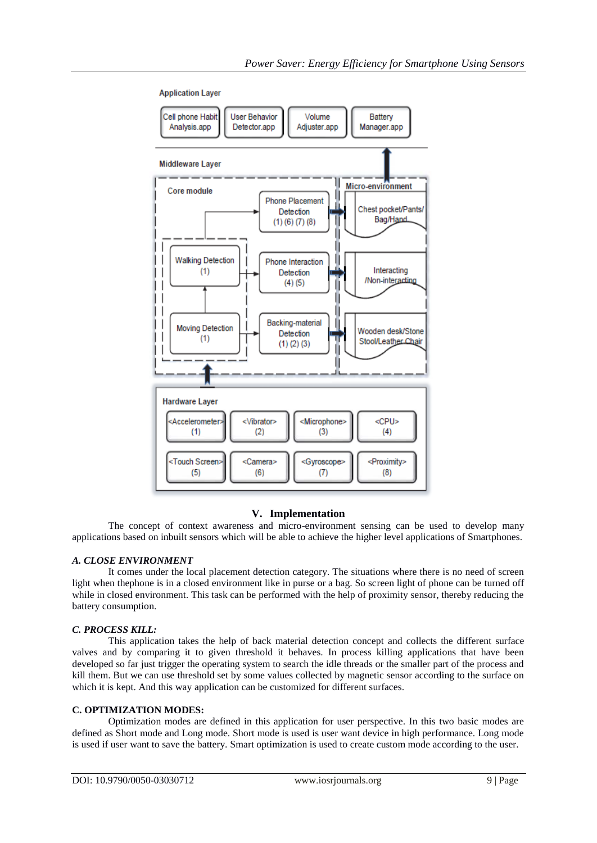

**Application Layer** 

# **V. Implementation**

The concept of context awareness and micro-environment sensing can be used to develop many applications based on inbuilt sensors which will be able to achieve the higher level applications of Smartphones.

# *A. CLOSE ENVIRONMENT*

It comes under the local placement detection category. The situations where there is no need of screen light when thephone is in a closed environment like in purse or a bag. So screen light of phone can be turned off while in closed environment. This task can be performed with the help of proximity sensor, thereby reducing the battery consumption.

# *C. PROCESS KILL:*

This application takes the help of back material detection concept and collects the different surface valves and by comparing it to given threshold it behaves. In process killing applications that have been developed so far just trigger the operating system to search the idle threads or the smaller part of the process and kill them. But we can use threshold set by some values collected by magnetic sensor according to the surface on which it is kept. And this way application can be customized for different surfaces.

# **C. OPTIMIZATION MODES:**

Optimization modes are defined in this application for user perspective. In this two basic modes are defined as Short mode and Long mode. Short mode is used is user want device in high performance. Long mode is used if user want to save the battery. Smart optimization is used to create custom mode according to the user.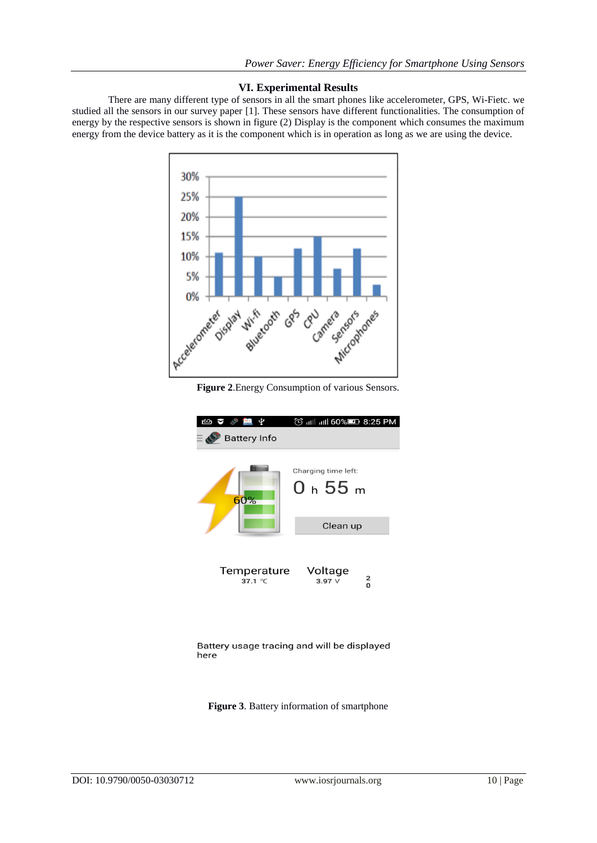# **VI. Experimental Results**

There are many different type of sensors in all the smart phones like accelerometer, GPS, Wi-Fietc. we studied all the sensors in our survey paper [1]. These sensors have different functionalities. The consumption of energy by the respective sensors is shown in figure (2) Display is the component which consumes the maximum energy from the device battery as it is the component which is in operation as long as we are using the device.



**Figure 2**.Energy Consumption of various Sensors.



Battery usage tracing and will be displayed here

**Figure 3**. Battery information of smartphone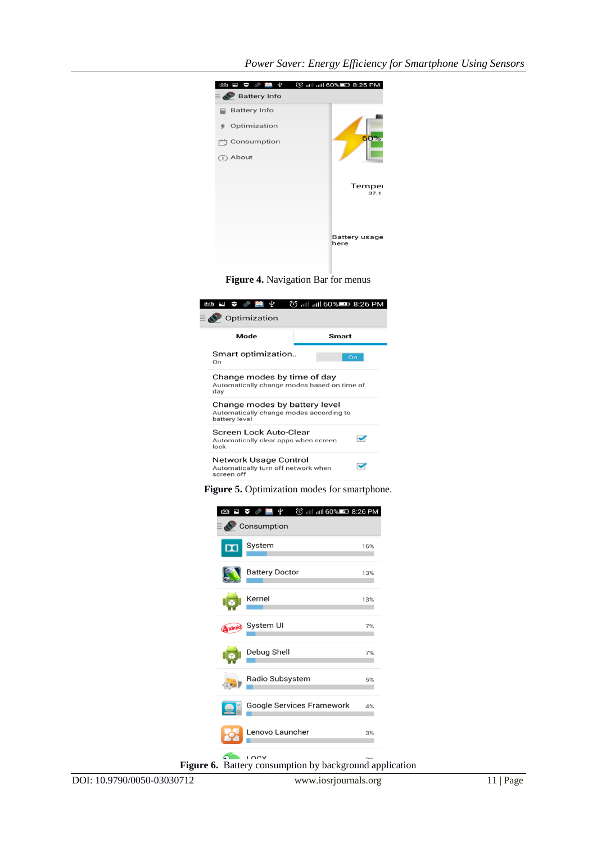| $\mathbf{\Phi}$<br><b>60 F V &amp; PA</b><br>$\equiv$ $\bullet$ Battery Info | © iill iill 60%■ 8:25 PM |
|------------------------------------------------------------------------------|--------------------------|
| <b>Battery Info</b>                                                          |                          |
| Optimization                                                                 |                          |
| Consumption                                                                  | 60%                      |
| About<br>(i)                                                                 |                          |
|                                                                              |                          |
|                                                                              | Temper<br>37.1           |
|                                                                              |                          |
|                                                                              |                          |
|                                                                              | Battery usage<br>here    |
|                                                                              |                          |

**Figure 4.** Navigation Bar for menus

| 60 □ ▽ ⑤ 图 中<br>© ill ill 60% <b>ED</b> 8:26 PM<br>Optimization<br>≣ ∢                    |              |  |  |  |
|-------------------------------------------------------------------------------------------|--------------|--|--|--|
| Mode                                                                                      | <b>Smart</b> |  |  |  |
| Smart optimization<br>On                                                                  | On           |  |  |  |
| Change modes by time of day<br>Automatically change modes based on time of<br>day         |              |  |  |  |
| Change modes by battery level<br>Automatically change modes according to<br>battery level |              |  |  |  |
| Screen Lock Auto-Clear<br>Automatically clear apps when screen<br>lock                    |              |  |  |  |
| Network Usage Control<br>Automatically turn off network when<br>screen off                |              |  |  |  |

**Figure 5.** Optimization modes for smartphone.

| á<br><u>60)</u>         | © ill ill 60% <b>ED</b> 8:26 PM<br>ψ<br>Consumption |     |
|-------------------------|-----------------------------------------------------|-----|
| $\overline{\mathbf{a}}$ | System                                              | 16% |
|                         | <b>Battery Doctor</b>                               | 13% |
|                         | Kernel                                              | 13% |
| Android                 | System UI                                           | 7%  |
|                         | Debug Shell                                         | 7%  |
|                         | Radio Subsystem                                     | 5%  |
|                         | Google Services Framework                           | 4%  |
|                         | Lenovo Launcher                                     | 3%  |
| -                       |                                                     |     |

**Figure 6.** Battery consumption by background application